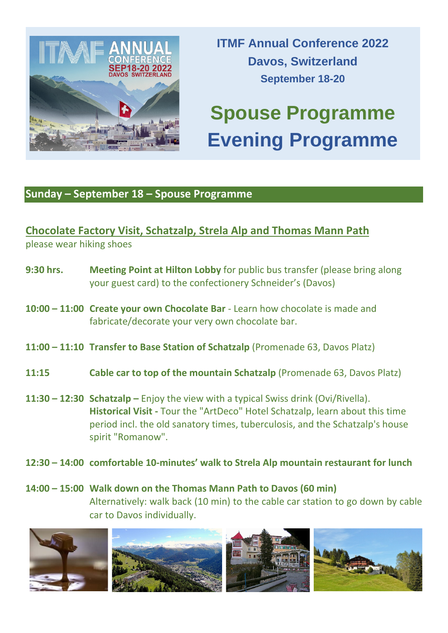

**ITMF Annual Conference 2022 Davos, Switzerland September 18-20**

# **Spouse Programme Evening Programme**

## **Sunday – September 18 – Spouse Programme**

# **Chocolate Factory Visit, Schatzalp, Strela Alp and Thomas Mann Path** please wear hiking shoes

- **9:30 hrs. Meeting Point at Hilton Lobby** for public bus transfer (please bring along your guest card) to the confectionery Schneider's (Davos)
- **10:00 – 11:00 Create your own Chocolate Bar** Learn how chocolate is made and fabricate/decorate your very own chocolate bar.
- **11:00 – 11:10 Transfer to Base Station of Schatzalp** (Promenade 63, Davos Platz)
- **11:15 Cable car to top of the mountain Schatzalp** (Promenade 63, Davos Platz)
- **11:30 – 12:30 Schatzalp –** Enjoy the view with a typical Swiss drink (Ovi/Rivella). **Historical Visit -** Tour the "ArtDeco" Hotel Schatzalp, learn about this time period incl. the old sanatory times, tuberculosis, and the Schatzalp's house spirit "Romanow".
- **12:30 – 14:00 comfortable 10-minutes' walk to Strela Alp mountain restaurant for lunch**

## **14:00 – 15:00 Walk down on the Thomas Mann Path to Davos (60 min)** Alternatively: walk back (10 min) to the cable car station to go down by cable car to Davos individually.

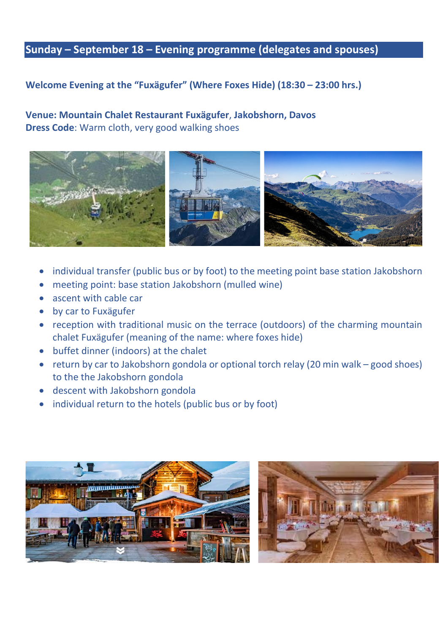## **Sunday – September 18 – Evening programme (delegates and spouses)**

#### **Welcome Evening at the "Fuxägufer" (Where Foxes Hide) (18:30 – 23:00 hrs.)**

#### **Venue: Mountain Chalet Restaurant Fuxägufer**, **Jakobshorn, Davos Dress Code**: Warm cloth, very good walking shoes



- individual transfer (public bus or by foot) to the meeting point base station Jakobshorn
- meeting point: base station Jakobshorn (mulled wine)
- ascent with cable car
- by car to Fuxägufer
- reception with traditional music on the terrace (outdoors) of the charming mountain chalet Fuxägufer (meaning of the name: where foxes hide)
- buffet dinner (indoors) at the chalet
- return by car to Jakobshorn gondola or optional torch relay (20 min walk good shoes) to the the Jakobshorn gondola
- descent with Jakobshorn gondola
- individual return to the hotels (public bus or by foot)



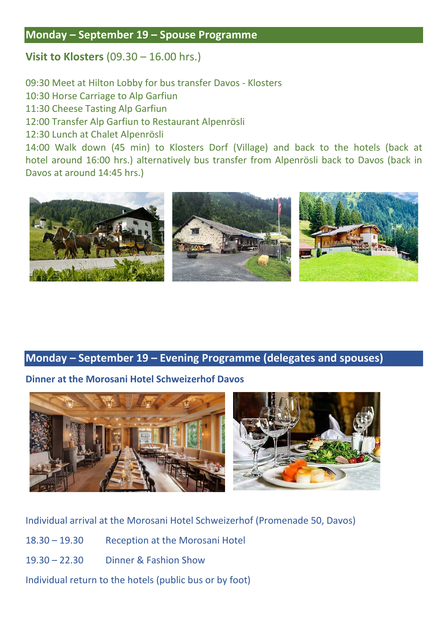### **Monday – September 19 – Spouse Programme**

## **Visit to Klosters** (09.30 – 16.00 hrs.)

09:30 Meet at Hilton Lobby for bus transfer Davos - Klosters

10:30 Horse Carriage to Alp Garfiun

11:30 Cheese Tasting Alp Garfiun

12:00 Transfer Alp Garfiun to Restaurant Alpenrösli

12:30 Lunch at Chalet Alpenrösli

14:00 Walk down (45 min) to Klosters Dorf (Village) and back to the hotels (back at hotel around 16:00 hrs.) alternatively bus transfer from Alpenrösli back to Davos (back in Davos at around 14:45 hrs.)



## **Monday – September 19 – Evening Programme (delegates and spouses)**

#### **Dinner at the Morosani Hotel Schweizerhof Davos**



| Individual arrival at the Morosani Hotel Schweizerhof (Promenade 50, Davos) |                                        |
|-----------------------------------------------------------------------------|----------------------------------------|
| $18.30 - 19.30$                                                             | <b>Reception at the Morosani Hotel</b> |
| $19.30 - 22.30$                                                             | Dinner & Fashion Show                  |
| Individual return to the hotels (public bus or by foot)                     |                                        |